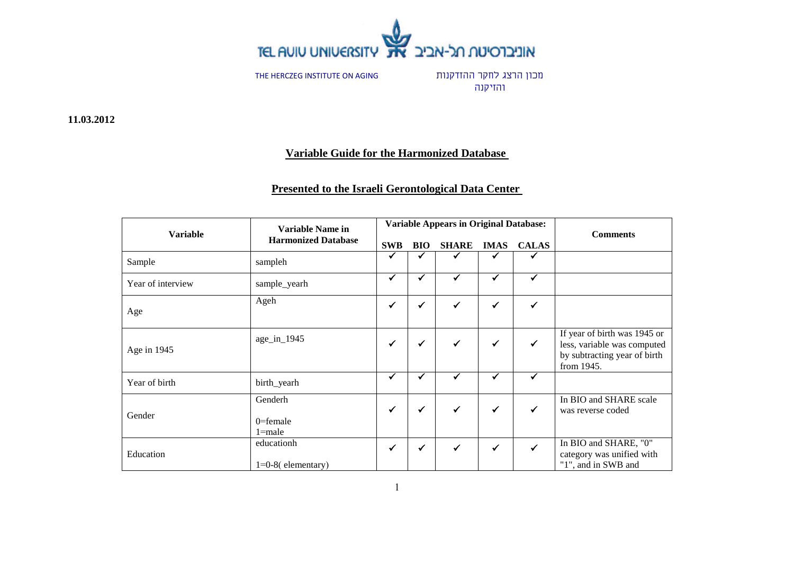

מכון הרצג לחקר ההזדקנות והזיקנה

**11.03.2012**

## **Variable Guide for the Harmonized Database**

## **Presented to the Israeli Gerontological Data Center**

| <b>Variable</b>   | Variable Name in                     |              |              | <b>Variable Appears in Original Database:</b> | <b>Comments</b> |              |                                                                                                           |
|-------------------|--------------------------------------|--------------|--------------|-----------------------------------------------|-----------------|--------------|-----------------------------------------------------------------------------------------------------------|
|                   | <b>Harmonized Database</b>           | <b>SWB</b>   | <b>BIO</b>   | <b>SHARE</b>                                  | <b>IMAS</b>     | <b>CALAS</b> |                                                                                                           |
| Sample            | sampleh                              | ✔            | ✔            |                                               |                 |              |                                                                                                           |
| Year of interview | sample_yearh                         | ✓            | √            | $\checkmark$                                  | $\checkmark$    | $\checkmark$ |                                                                                                           |
| Age               | Ageh                                 | ✓            | $\checkmark$ | ✓                                             | $\checkmark$    | $\checkmark$ |                                                                                                           |
| Age in 1945       | age_in_1945                          | $\checkmark$ | $\checkmark$ | ✓                                             | ✔               | $\checkmark$ | If year of birth was 1945 or<br>less, variable was computed<br>by subtracting year of birth<br>from 1945. |
| Year of birth     | birth_yearh                          | ✓            | $\checkmark$ | ✓                                             | $\checkmark$    | $\checkmark$ |                                                                                                           |
| Gender            | Genderh<br>$0$ =female<br>$1 = male$ | ✓            | ✓            | $\checkmark$                                  | ✓               | $\checkmark$ | In BIO and SHARE scale<br>was reverse coded                                                               |
| Education         | educationh<br>$1=0-8$ (elementary)   | ✔            | $\checkmark$ | $\checkmark$                                  | $\checkmark$    | $\checkmark$ | In BIO and SHARE, "0"<br>category was unified with<br>"1", and in SWB and                                 |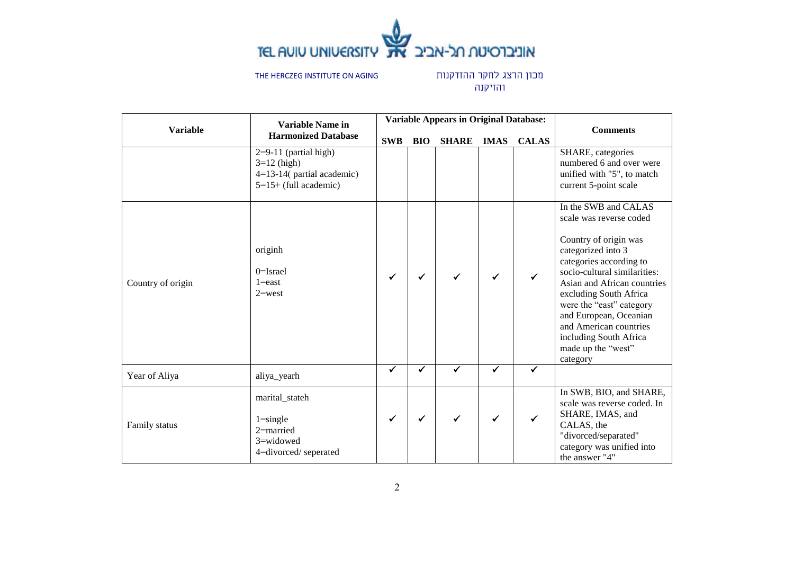

מכון הרצג לחקר ההזדקנות והזיקנה

|                   |                                               | <b>Variable Name in</b>                                                                          |            |            | <b>Variable Appears in Original Database:</b> |             |              |                                                                                                                                                                                                                                                                                                                                                                |
|-------------------|-----------------------------------------------|--------------------------------------------------------------------------------------------------|------------|------------|-----------------------------------------------|-------------|--------------|----------------------------------------------------------------------------------------------------------------------------------------------------------------------------------------------------------------------------------------------------------------------------------------------------------------------------------------------------------------|
|                   | <b>Variable</b><br><b>Harmonized Database</b> |                                                                                                  | <b>SWB</b> | <b>BIO</b> | <b>SHARE</b>                                  | <b>IMAS</b> | <b>CALAS</b> | <b>Comments</b>                                                                                                                                                                                                                                                                                                                                                |
|                   |                                               | $2=9-11$ (partial high)<br>$3=12$ (high)<br>4=13-14(partial academic)<br>$5=15+$ (full academic) |            |            |                                               |             |              | SHARE, categories<br>numbered 6 and over were<br>unified with "5", to match<br>current 5-point scale                                                                                                                                                                                                                                                           |
| Country of origin |                                               | originh<br>$0 = Israel$<br>$1 =$ east<br>$2$ =west                                               | ✓          | ✓          | $\checkmark$                                  |             | $\checkmark$ | In the SWB and CALAS<br>scale was reverse coded<br>Country of origin was<br>categorized into 3<br>categories according to<br>socio-cultural similarities:<br>Asian and African countries<br>excluding South Africa<br>were the "east" category<br>and European, Oceanian<br>and American countries<br>including South Africa<br>made up the "west"<br>category |
| Year of Aliya     |                                               | aliya_yearh                                                                                      | ✔          | ✓          | $\checkmark$                                  | ✓           | $\checkmark$ |                                                                                                                                                                                                                                                                                                                                                                |
| Family status     |                                               | marital_stateh<br>$1 = \{single\}$<br>2=married<br>3=widowed<br>4=divorced/seperated             | ✓          | ✓          | $\checkmark$                                  | ✓           | $\checkmark$ | In SWB, BIO, and SHARE,<br>scale was reverse coded. In<br>SHARE, IMAS, and<br>CALAS, the<br>"divorced/separated"<br>category was unified into<br>the answer "4"                                                                                                                                                                                                |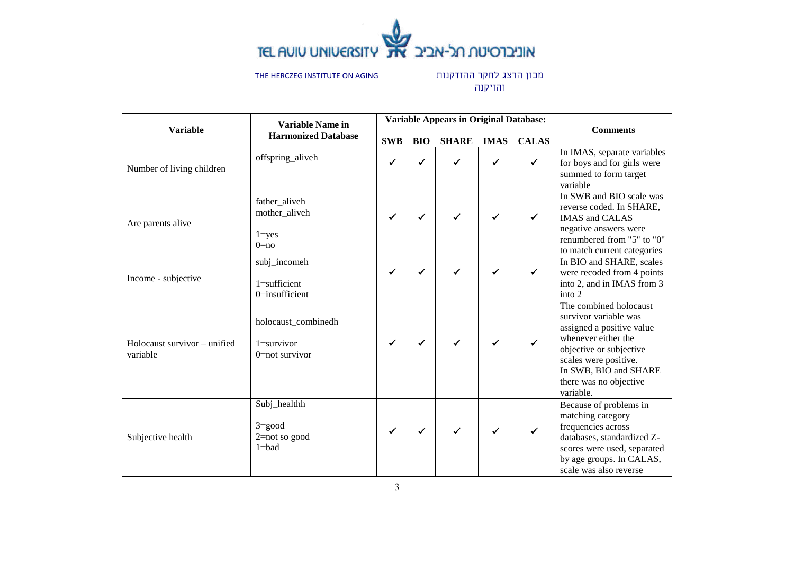

|                                          |                                                                 |            | <b>Variable Appears in Original Database:</b> |              |             |              |                                                                                                                                                                                                                         |
|------------------------------------------|-----------------------------------------------------------------|------------|-----------------------------------------------|--------------|-------------|--------------|-------------------------------------------------------------------------------------------------------------------------------------------------------------------------------------------------------------------------|
| <b>Variable</b>                          | <b>Harmonized Database</b>                                      | <b>SWB</b> | <b>BIO</b>                                    | <b>SHARE</b> | <b>IMAS</b> | <b>CALAS</b> | <b>Comments</b>                                                                                                                                                                                                         |
| Number of living children                | offspring_aliveh                                                | ✔          | ✔                                             | ✓            |             | $\checkmark$ | In IMAS, separate variables<br>for boys and for girls were<br>summed to form target<br>variable                                                                                                                         |
| Are parents alive                        | father_aliveh<br>mother_aliveh<br>$1 = yes$<br>$0 = no$         | ✓          | ✔                                             | $\checkmark$ |             | $\checkmark$ | In SWB and BIO scale was<br>reverse coded. In SHARE,<br><b>IMAS</b> and CALAS<br>negative answers were<br>renumbered from "5" to "0"<br>to match current categories                                                     |
| Income - subjective                      | subj_incomeh<br>$1 =$ sufficient<br>0=insufficient              | ✓          | ✓                                             | ✔            |             | ✓            | In BIO and SHARE, scales<br>were recoded from 4 points<br>into 2, and in IMAS from 3<br>into <sub>2</sub>                                                                                                               |
| Holocaust survivor - unified<br>variable | holocaust_combinedh<br>$1 =$ survivor<br>0=not survivor         | ✓          | ✓                                             | $\checkmark$ |             | $\checkmark$ | The combined holocaust<br>survivor variable was<br>assigned a positive value<br>whenever either the<br>objective or subjective<br>scales were positive.<br>In SWB, BIO and SHARE<br>there was no objective<br>variable. |
| Subjective health                        | Subj_healthh<br>$3 = \text{good}$<br>2=not so good<br>$1 = bad$ | ✓          | ✔                                             | $\checkmark$ |             | $\checkmark$ | Because of problems in<br>matching category<br>frequencies across<br>databases, standardized Z-<br>scores were used, separated<br>by age groups. In CALAS,<br>scale was also reverse                                    |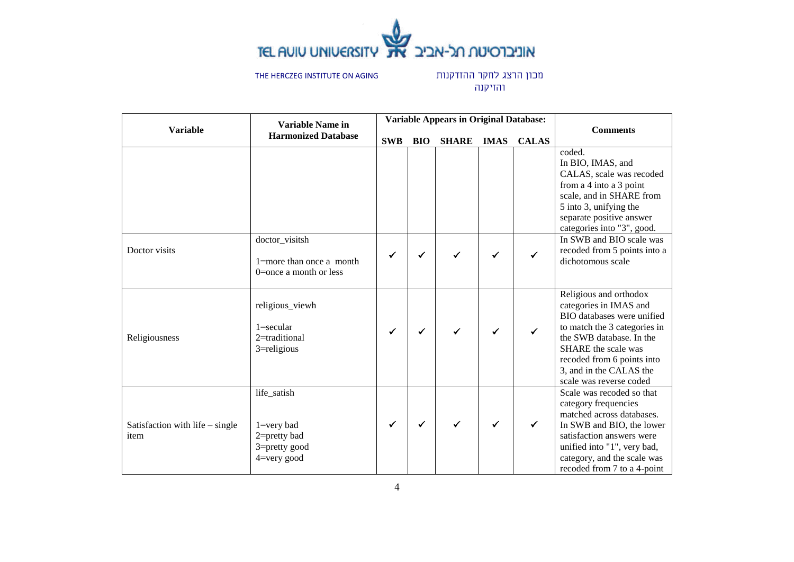

|                                           | <b>Variable Name in</b>                                                                         |            |            | <b>Variable Appears in Original Database:</b> |             |              |                                                                                                                                                                                                                                                       |
|-------------------------------------------|-------------------------------------------------------------------------------------------------|------------|------------|-----------------------------------------------|-------------|--------------|-------------------------------------------------------------------------------------------------------------------------------------------------------------------------------------------------------------------------------------------------------|
| <b>Variable</b>                           | <b>Harmonized Database</b>                                                                      |            | <b>BIO</b> | <b>SHARE</b>                                  | <b>IMAS</b> | <b>CALAS</b> | <b>Comments</b>                                                                                                                                                                                                                                       |
|                                           |                                                                                                 | <b>SWB</b> |            |                                               |             |              | coded.<br>In BIO, IMAS, and<br>CALAS, scale was recoded<br>from a 4 into a 3 point<br>scale, and in SHARE from<br>5 into 3, unifying the<br>separate positive answer<br>categories into "3", good.                                                    |
| Doctor visits                             | doctor_visitsh<br>$1$ =more than once a month<br>$0$ =once a month or less                      | ✔          | ✔          |                                               |             | $\checkmark$ | In SWB and BIO scale was<br>recoded from 5 points into a<br>dichotomous scale                                                                                                                                                                         |
| Religiousness                             | religious_viewh<br>$1 = secular$<br>2=traditional<br>3=religious                                | ✔          |            |                                               |             | $\checkmark$ | Religious and orthodox<br>categories in IMAS and<br>BIO databases were unified<br>to match the 3 categories in<br>the SWB database. In the<br>SHARE the scale was<br>recoded from 6 points into<br>3, and in the CALAS the<br>scale was reverse coded |
| Satisfaction with life $-$ single<br>item | life_satish<br>$1 = \text{very bad}$<br>2=pretty bad<br>3=pretty good<br>$4 = \text{very good}$ | ✓          |            |                                               |             | ✓            | Scale was recoded so that<br>category frequencies<br>matched across databases.<br>In SWB and BIO, the lower<br>satisfaction answers were<br>unified into "1", very bad,<br>category, and the scale was<br>recoded from 7 to a 4-point                 |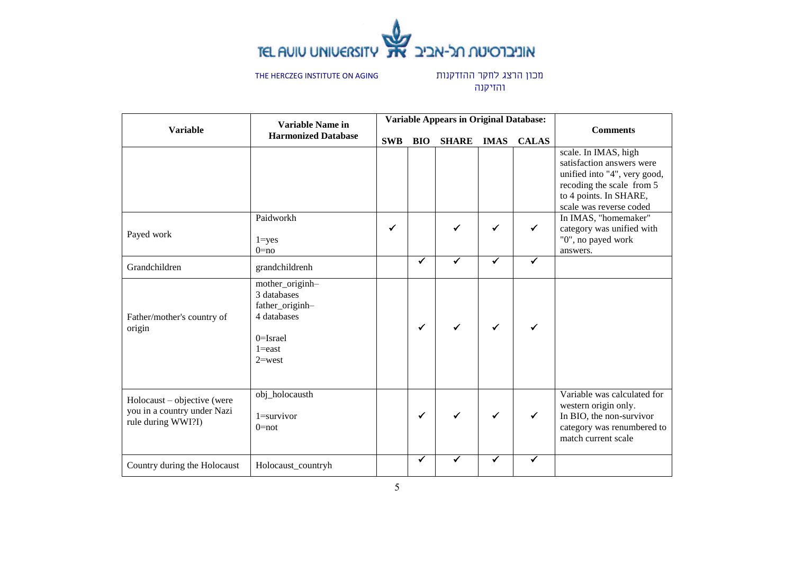

|                                                                                  | <b>Variable Name in</b>                                                                                    |              |              | <b>Variable Appears in Original Database:</b> |             |              |                                                                                                                                                                     |
|----------------------------------------------------------------------------------|------------------------------------------------------------------------------------------------------------|--------------|--------------|-----------------------------------------------|-------------|--------------|---------------------------------------------------------------------------------------------------------------------------------------------------------------------|
| <b>Variable</b>                                                                  | <b>Harmonized Database</b>                                                                                 |              | <b>BIO</b>   | <b>SHARE</b>                                  | <b>IMAS</b> | <b>CALAS</b> | <b>Comments</b>                                                                                                                                                     |
|                                                                                  |                                                                                                            |              |              |                                               |             |              | scale. In IMAS, high<br>satisfaction answers were<br>unified into "4", very good,<br>recoding the scale from 5<br>to 4 points. In SHARE,<br>scale was reverse coded |
| Payed work                                                                       | Paidworkh<br>$1 = yes$<br>$0 = no$                                                                         | $\checkmark$ |              |                                               | ✓           |              | In IMAS, "homemaker"<br>category was unified with<br>"0", no payed work<br>answers.                                                                                 |
| Grandchildren                                                                    | grandchildrenh                                                                                             |              | $\checkmark$ | ✓                                             | ✓           | ✓            |                                                                                                                                                                     |
| Father/mother's country of<br>origin                                             | mother_originh-<br>3 databases<br>father_originh-<br>4 databases<br>$0$ =Israel<br>$1 =$ east<br>$2$ =west |              | √            |                                               | ✔           |              |                                                                                                                                                                     |
| Holocaust – objective (were<br>you in a country under Nazi<br>rule during WWI?I) | obj_holocausth<br>$1 =$ survivor<br>$0 = not$                                                              |              | ✓            | ✔                                             | ✓           | ✓            | Variable was calculated for<br>western origin only.<br>In BIO, the non-survivor<br>category was renumbered to<br>match current scale                                |
| Country during the Holocaust                                                     | Holocaust_countryh                                                                                         |              | ✓            | ✓                                             | ✓           | $\checkmark$ |                                                                                                                                                                     |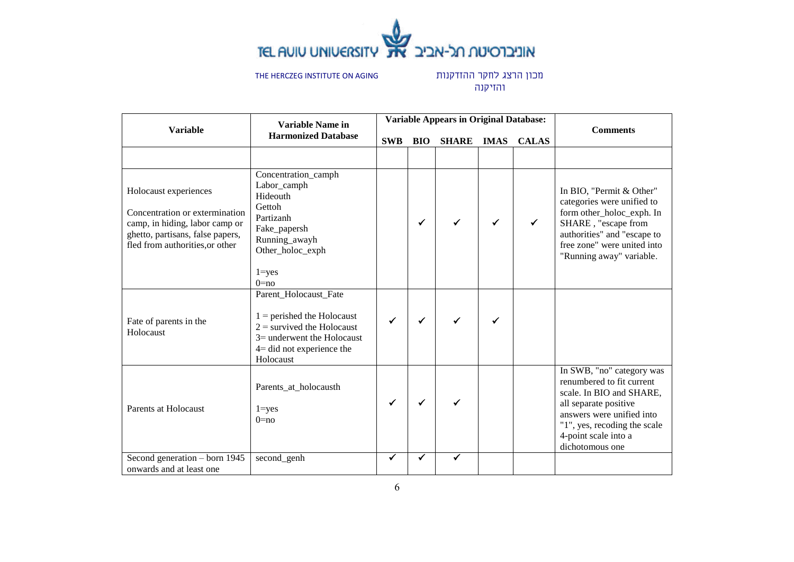

מכון הרצג לחקר ההזדקנות והזיקנה

|                                                                                                                                                                  | <b>Variable Name in</b>                                                                                                                                          |              |            | <b>Variable Appears in Original Database:</b> |              |              |                                                                                                                                                                                                                     |
|------------------------------------------------------------------------------------------------------------------------------------------------------------------|------------------------------------------------------------------------------------------------------------------------------------------------------------------|--------------|------------|-----------------------------------------------|--------------|--------------|---------------------------------------------------------------------------------------------------------------------------------------------------------------------------------------------------------------------|
| <b>Variable</b>                                                                                                                                                  | <b>Harmonized Database</b>                                                                                                                                       | <b>SWB</b>   | <b>BIO</b> | <b>SHARE</b>                                  | <b>IMAS</b>  | <b>CALAS</b> | <b>Comments</b>                                                                                                                                                                                                     |
|                                                                                                                                                                  |                                                                                                                                                                  |              |            |                                               |              |              |                                                                                                                                                                                                                     |
| Holocaust experiences<br>Concentration or extermination<br>camp, in hiding, labor camp or<br>ghetto, partisans, false papers,<br>fled from authorities, or other | Concentration_camph<br>Labor_camph<br>Hideouth<br>Gettoh<br>Partizanh<br>Fake_papersh<br>Running_awayh<br>Other_holoc_exph<br>$1 = yes$<br>$0 = no$              |              | √          | ✓                                             | $\checkmark$ |              | In BIO, "Permit & Other"<br>categories were unified to<br>form other_holoc_exph. In<br>SHARE, "escape from<br>authorities" and "escape to<br>free zone" were united into<br>"Running away" variable.                |
| Fate of parents in the<br>Holocaust                                                                                                                              | Parent_Holocaust_Fate<br>$1$ = perished the Holocaust<br>$2$ = survived the Holocaust<br>3= underwent the Holocaust<br>$4$ = did not experience the<br>Holocaust | $\checkmark$ | ✓          |                                               | ✓            |              |                                                                                                                                                                                                                     |
| Parents at Holocaust                                                                                                                                             | Parents_at_holocausth<br>$1 = yes$<br>$0 = no$                                                                                                                   | $\checkmark$ | ✓          |                                               |              |              | In SWB, "no" category was<br>renumbered to fit current<br>scale. In BIO and SHARE,<br>all separate positive<br>answers were unified into<br>"1", yes, recoding the scale<br>4-point scale into a<br>dichotomous one |
| Second generation – born 1945<br>onwards and at least one                                                                                                        | second_genh                                                                                                                                                      | ✔            | √          |                                               |              |              |                                                                                                                                                                                                                     |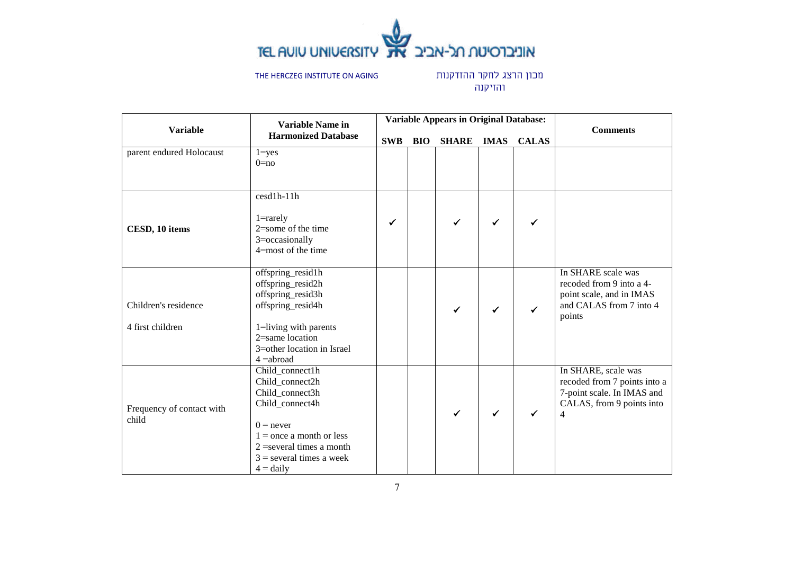

|                                          | <b>Variable Name in</b>                                                                                                                                                                                 |            |            | <b>Variable Appears in Original Database:</b> |              |              |                                                                                                                     |
|------------------------------------------|---------------------------------------------------------------------------------------------------------------------------------------------------------------------------------------------------------|------------|------------|-----------------------------------------------|--------------|--------------|---------------------------------------------------------------------------------------------------------------------|
| <b>Variable</b>                          | <b>Harmonized Database</b>                                                                                                                                                                              | <b>SWB</b> | <b>BIO</b> | <b>SHARE</b>                                  | <b>IMAS</b>  | <b>CALAS</b> | <b>Comments</b>                                                                                                     |
| parent endured Holocaust                 | $1 = yes$<br>$0 = no$                                                                                                                                                                                   |            |            |                                               |              |              |                                                                                                                     |
| CESD, 10 items                           | cesd1h-11h<br>$1 =$ rarely<br>$2$ =some of the time<br>3=occasionally<br>$4 =$ most of the time                                                                                                         | ✔          |            | $\checkmark$                                  | ✓            |              |                                                                                                                     |
| Children's residence<br>4 first children | offspring_resid1h<br>offspring_resid2h<br>offspring_resid3h<br>offspring_resid4h<br>1=living with parents<br>2=same location<br>3=other location in Israel<br>$4 =$ abroad                              |            |            | ✓                                             | $\checkmark$ | ✓            | In SHARE scale was<br>recoded from 9 into a 4-<br>point scale, and in IMAS<br>and CALAS from 7 into 4<br>points     |
| Frequency of contact with<br>child       | Child_connect1h<br>Child_connect2h<br>Child_connect3h<br>Child_connect4h<br>$0 =$ never<br>$1 =$ once a month or less<br>$2$ =several times a month<br>$3$ = several times a week<br>$4 = \text{daily}$ |            |            | ✓                                             |              |              | In SHARE, scale was<br>recoded from 7 points into a<br>7-point scale. In IMAS and<br>CALAS, from 9 points into<br>4 |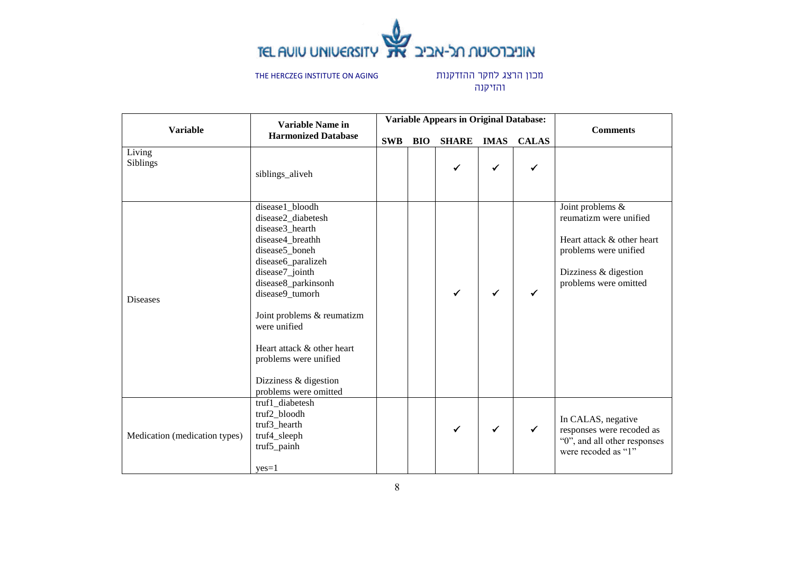

|                                               | <b>Variable Name in</b>                                                                                                                                                                                                                                                                                                                  |            |            | <b>Variable Appears in Original Database:</b> |              |              |                                                                                                                                                     |
|-----------------------------------------------|------------------------------------------------------------------------------------------------------------------------------------------------------------------------------------------------------------------------------------------------------------------------------------------------------------------------------------------|------------|------------|-----------------------------------------------|--------------|--------------|-----------------------------------------------------------------------------------------------------------------------------------------------------|
| <b>Variable</b><br><b>Harmonized Database</b> |                                                                                                                                                                                                                                                                                                                                          | <b>SWB</b> | <b>BIO</b> | <b>SHARE</b>                                  | <b>IMAS</b>  | <b>CALAS</b> | <b>Comments</b>                                                                                                                                     |
| Living<br>Siblings                            | siblings_aliveh                                                                                                                                                                                                                                                                                                                          |            |            | $\checkmark$                                  | ✔            | ✓            |                                                                                                                                                     |
| <b>Diseases</b>                               | disease1_bloodh<br>disease2_diabetesh<br>disease3_hearth<br>disease4_breathh<br>disease5_boneh<br>disease6_paralizeh<br>disease7_jointh<br>disease8_parkinsonh<br>disease9_tumorh<br>Joint problems & reumatizm<br>were unified<br>Heart attack & other heart<br>problems were unified<br>Dizziness & digestion<br>problems were omitted |            |            | $\checkmark$                                  |              | ✓            | Joint problems &<br>reumatizm were unified<br>Heart attack & other heart<br>problems were unified<br>Dizziness & digestion<br>problems were omitted |
| Medication (medication types)                 | truf1_diabetesh<br>truf2_bloodh<br>truf3_hearth<br>truf4_sleeph<br>truf5_painh<br>$yes=1$                                                                                                                                                                                                                                                |            |            | $\checkmark$                                  | $\checkmark$ | $\checkmark$ | In CALAS, negative<br>responses were recoded as<br>"0", and all other responses<br>were recoded as "1"                                              |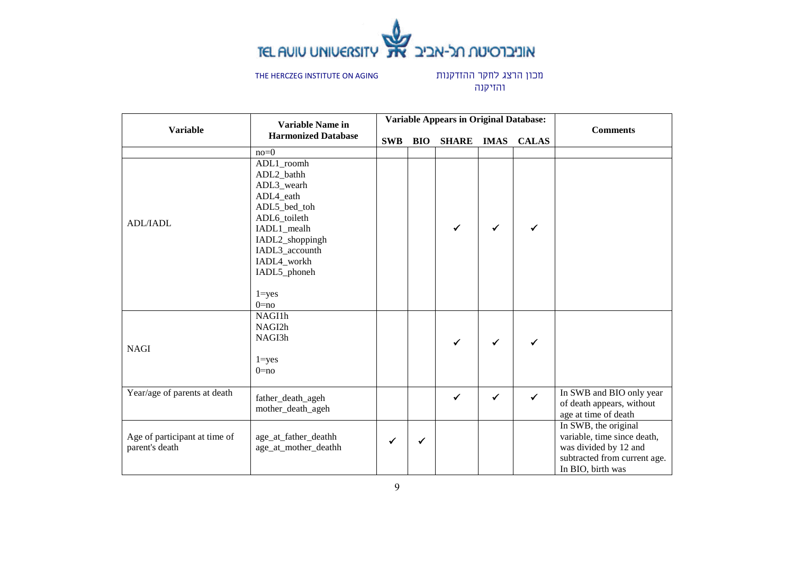

|                                                 | <b>Variable Name in</b>                                                                                                                                                |            |            | <b>Variable Appears in Original Database:</b> |              |              |                                                                                                                                   |
|-------------------------------------------------|------------------------------------------------------------------------------------------------------------------------------------------------------------------------|------------|------------|-----------------------------------------------|--------------|--------------|-----------------------------------------------------------------------------------------------------------------------------------|
| <b>Variable</b>                                 | <b>Harmonized Database</b>                                                                                                                                             | <b>SWB</b> | <b>BIO</b> | <b>SHARE</b>                                  | <b>IMAS</b>  | <b>CALAS</b> | <b>Comments</b>                                                                                                                   |
|                                                 | $no=0$                                                                                                                                                                 |            |            |                                               |              |              |                                                                                                                                   |
| <b>ADL/IADL</b>                                 | ADL1_roomh<br>ADL2_bathh<br>ADL3_wearh<br>ADL4 eath<br>ADL5_bed_toh<br>ADL6_toileth<br>IADL1_mealh<br>IADL2_shoppingh<br>IADL3_accounth<br>IADL4_workh<br>IADL5_phoneh |            |            |                                               |              |              |                                                                                                                                   |
|                                                 | $1 = yes$<br>$0 = no$                                                                                                                                                  |            |            |                                               |              |              |                                                                                                                                   |
| <b>NAGI</b>                                     | NAGI1h<br>NAGI2h<br>NAGI3h<br>$1 = yes$<br>$0 = no$                                                                                                                    |            |            | ✓                                             | ✔            | ✓            |                                                                                                                                   |
| Year/age of parents at death                    | father_death_ageh<br>mother_death_ageh                                                                                                                                 |            |            | $\checkmark$                                  | $\checkmark$ | $\checkmark$ | In SWB and BIO only year<br>of death appears, without<br>age at time of death                                                     |
| Age of participant at time of<br>parent's death | age_at_father_deathh<br>age_at_mother_deathh                                                                                                                           | ✓          | ✓          |                                               |              |              | In SWB, the original<br>variable, time since death,<br>was divided by 12 and<br>subtracted from current age.<br>In BIO, birth was |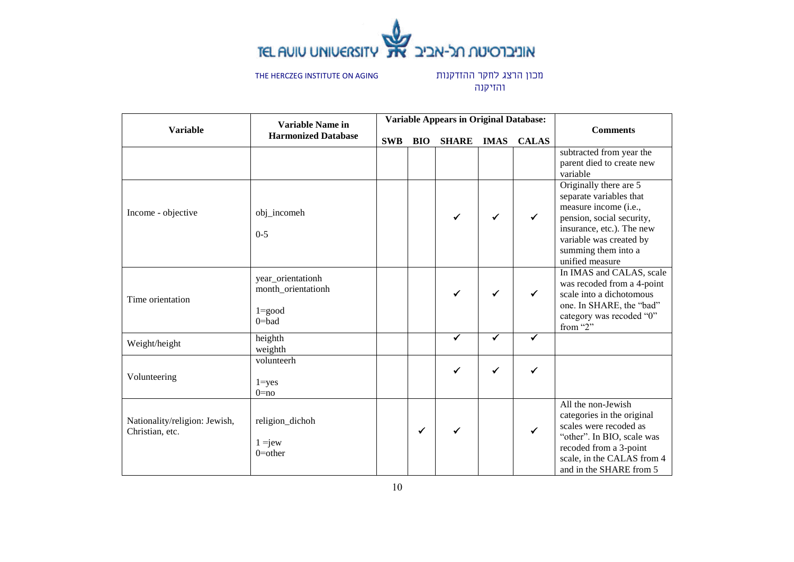

|                                                  | <b>Variable Name in</b>                                                   |            |            | <b>Variable Appears in Original Database:</b> |             |              |                                                                                                                                                                                                           |
|--------------------------------------------------|---------------------------------------------------------------------------|------------|------------|-----------------------------------------------|-------------|--------------|-----------------------------------------------------------------------------------------------------------------------------------------------------------------------------------------------------------|
| <b>Variable</b>                                  | <b>Harmonized Database</b>                                                | <b>SWB</b> | <b>BIO</b> | <b>SHARE</b>                                  | <b>IMAS</b> | <b>CALAS</b> | <b>Comments</b>                                                                                                                                                                                           |
|                                                  |                                                                           |            |            |                                               |             |              | subtracted from year the<br>parent died to create new<br>variable                                                                                                                                         |
| Income - objective                               | obj_incomeh<br>$0 - 5$                                                    |            |            | $\checkmark$                                  |             | $\checkmark$ | Originally there are 5<br>separate variables that<br>measure income (i.e.,<br>pension, social security,<br>insurance, etc.). The new<br>variable was created by<br>summing them into a<br>unified measure |
| Time orientation                                 | year_orientationh<br>month_orientationh<br>$1 = \text{good}$<br>$0 = bad$ |            |            | $\checkmark$                                  |             | $\checkmark$ | In IMAS and CALAS, scale<br>was recoded from a 4-point<br>scale into a dichotomous<br>one. In SHARE, the "bad"<br>category was recoded "0"<br>from "2"                                                    |
| Weight/height                                    | heighth<br>weighth                                                        |            |            | ✓                                             | ✔           | $\checkmark$ |                                                                                                                                                                                                           |
| Volunteering                                     | volunteerh<br>$1 = yes$<br>$0 = no$                                       |            |            | ✔                                             |             | ✓            |                                                                                                                                                                                                           |
| Nationality/religion: Jewish,<br>Christian, etc. | religion_dichoh<br>$1 = iew$<br>$0$ =other                                |            | ✓          |                                               |             | $\checkmark$ | All the non-Jewish<br>categories in the original<br>scales were recoded as<br>"other". In BIO, scale was<br>recoded from a 3-point<br>scale, in the CALAS from 4<br>and in the SHARE from 5               |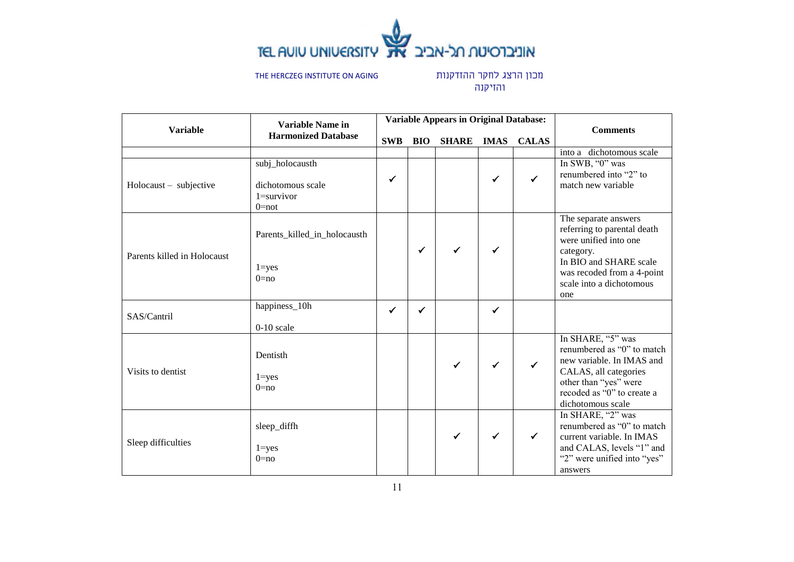

מכון הרצג לחקר ההזדקנות והזיקנה

|                             |                                                                     |              | <b>Variable Appears in Original Database:</b> |              |              |              |                                                                                                                                                                                      |
|-----------------------------|---------------------------------------------------------------------|--------------|-----------------------------------------------|--------------|--------------|--------------|--------------------------------------------------------------------------------------------------------------------------------------------------------------------------------------|
| <b>Variable</b>             | <b>Harmonized Database</b>                                          |              | <b>BIO</b>                                    | <b>SHARE</b> | <b>IMAS</b>  | <b>CALAS</b> | <b>Comments</b>                                                                                                                                                                      |
|                             |                                                                     | <b>SWB</b>   |                                               |              |              |              | into a dichotomous scale                                                                                                                                                             |
| $Holocaust - subjective$    | subj_holocausth<br>dichotomous scale<br>$1 =$ survivor<br>$0 = not$ | $\checkmark$ |                                               |              | ✓            | $\checkmark$ | In SWB, "0" was<br>renumbered into "2" to<br>match new variable                                                                                                                      |
| Parents killed in Holocaust | Parents_killed_in_holocausth<br>$1 = yes$<br>$0=no$                 |              | $\checkmark$                                  | $\checkmark$ | $\checkmark$ |              | The separate answers<br>referring to parental death<br>were unified into one<br>category.<br>In BIO and SHARE scale<br>was recoded from a 4-point<br>scale into a dichotomous<br>one |
| SAS/Cantril                 | happiness_10h<br>$0-10$ scale                                       | $\checkmark$ | $\checkmark$                                  |              | $\checkmark$ |              |                                                                                                                                                                                      |
| Visits to dentist           | Dentisth<br>$1 = yes$<br>$0 = no$                                   |              |                                               | ✓            | $\checkmark$ | ✔            | In SHARE, "5" was<br>renumbered as "0" to match<br>new variable. In IMAS and<br>CALAS, all categories<br>other than "yes" were<br>recoded as "0" to create a<br>dichotomous scale    |
| Sleep difficulties          | sleep_diffh<br>$1 = yes$<br>$0 = no$                                |              |                                               | $\checkmark$ | $\checkmark$ | $\checkmark$ | In SHARE, "2" was<br>renumbered as "0" to match<br>current variable. In IMAS<br>and CALAS, levels "1" and<br>"2" were unified into "yes"<br>answers                                  |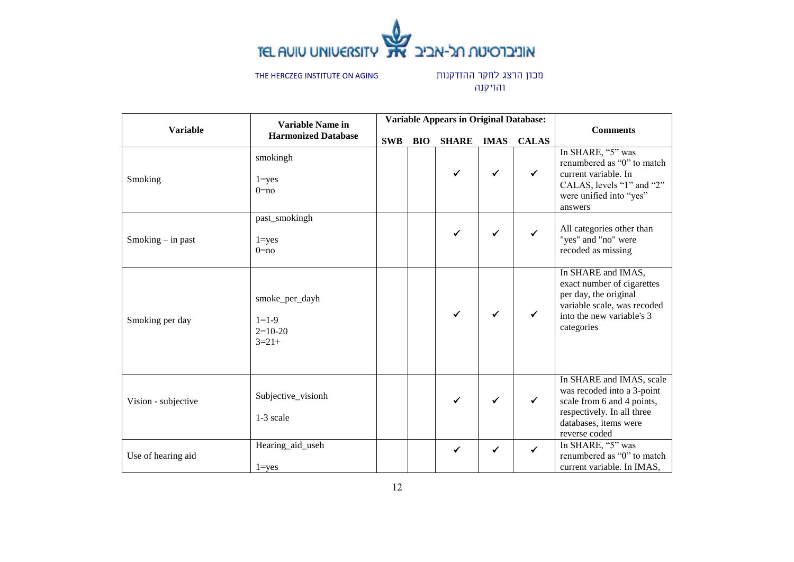

|                     |                                                       |            | <b>Variable Appears in Original Database:</b> |              |              |              |                                                                                                                                                              |
|---------------------|-------------------------------------------------------|------------|-----------------------------------------------|--------------|--------------|--------------|--------------------------------------------------------------------------------------------------------------------------------------------------------------|
| <b>Variable</b>     | <b>Harmonized Database</b>                            | <b>SWB</b> | <b>BIO</b>                                    | <b>SHARE</b> | <b>IMAS</b>  | <b>CALAS</b> | <b>Comments</b>                                                                                                                                              |
| Smoking             | smokingh<br>$1 = yes$<br>$0 = no$                     |            |                                               | $\checkmark$ | ✓            | $\checkmark$ | In SHARE, "5" was<br>renumbered as "0" to match<br>current variable. In<br>CALAS, levels "1" and "2"<br>were unified into "yes"<br>answers                   |
| Smoking $-$ in past | past_smokingh<br>$1 = yes$<br>$0 = no$                |            |                                               | ✓            |              | $\checkmark$ | All categories other than<br>"yes" and "no" were<br>recoded as missing                                                                                       |
| Smoking per day     | smoke_per_dayh<br>$1 = 1 - 9$<br>$2=10-20$<br>$3=21+$ |            |                                               | $\checkmark$ | $\checkmark$ | ✔            | In SHARE and IMAS,<br>exact number of cigarettes<br>per day, the original<br>variable scale, was recoded<br>into the new variable's 3<br>categories          |
| Vision - subjective | Subjective_visionh<br>1-3 scale                       |            |                                               | $\checkmark$ |              | $\checkmark$ | In SHARE and IMAS, scale<br>was recoded into a 3-point<br>scale from 6 and 4 points,<br>respectively. In all three<br>databases, items were<br>reverse coded |
| Use of hearing aid  | Hearing_aid_useh<br>$1 = yes$                         |            |                                               | $\checkmark$ |              |              | In SHARE, "5" was<br>renumbered as "0" to match<br>current variable. In IMAS,                                                                                |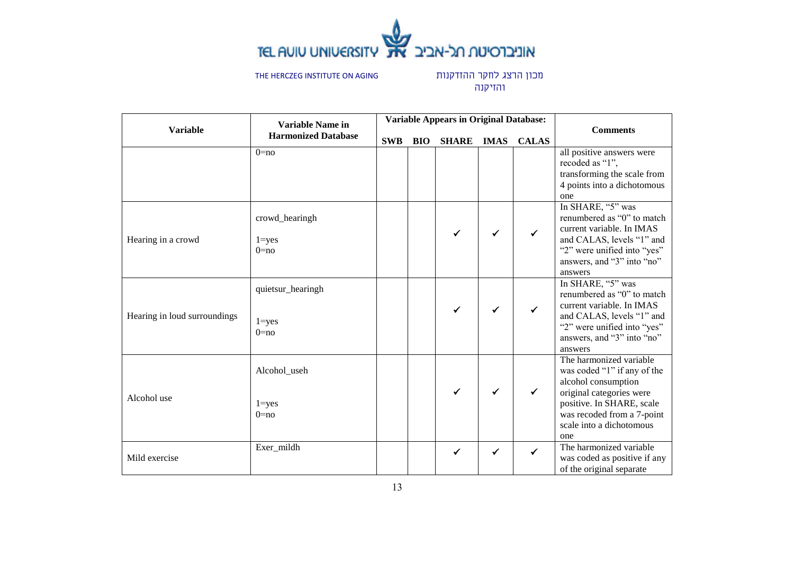

|                              | <b>Variable Name in</b>                    | <b>Variable Appears in Original Database:</b> |            |              |             |              |                                                                                                                                                                                                         |
|------------------------------|--------------------------------------------|-----------------------------------------------|------------|--------------|-------------|--------------|---------------------------------------------------------------------------------------------------------------------------------------------------------------------------------------------------------|
| <b>Variable</b>              | <b>Harmonized Database</b>                 | <b>SWB</b>                                    | <b>BIO</b> | <b>SHARE</b> | <b>IMAS</b> | <b>CALAS</b> | <b>Comments</b>                                                                                                                                                                                         |
|                              | $0 = no$                                   |                                               |            |              |             |              | all positive answers were<br>recoded as "1",<br>transforming the scale from<br>4 points into a dichotomous<br>one                                                                                       |
| Hearing in a crowd           | crowd_hearingh<br>$1 = yes$<br>$0 = no$    |                                               |            | $\checkmark$ | ✓           | $\checkmark$ | In SHARE, "5" was<br>renumbered as "0" to match<br>current variable. In IMAS<br>and CALAS, levels "1" and<br>"2" were unified into "yes"<br>answers, and "3" into "no"<br>answers                       |
| Hearing in loud surroundings | quietsur_hearingh<br>$1 = yes$<br>$0 = no$ |                                               |            | ✓            |             |              | In SHARE, "5" was<br>renumbered as "0" to match<br>current variable. In IMAS<br>and CALAS, levels "1" and<br>"2" were unified into "yes"<br>answers, and "3" into "no"<br>answers                       |
| Alcohol use                  | Alcohol useh<br>$1 = yes$<br>$0 = no$      |                                               |            | ✔            |             |              | The harmonized variable<br>was coded "1" if any of the<br>alcohol consumption<br>original categories were<br>positive. In SHARE, scale<br>was recoded from a 7-point<br>scale into a dichotomous<br>one |
| Mild exercise                | Exer_mildh                                 |                                               |            | ✓            |             |              | The harmonized variable<br>was coded as positive if any<br>of the original separate                                                                                                                     |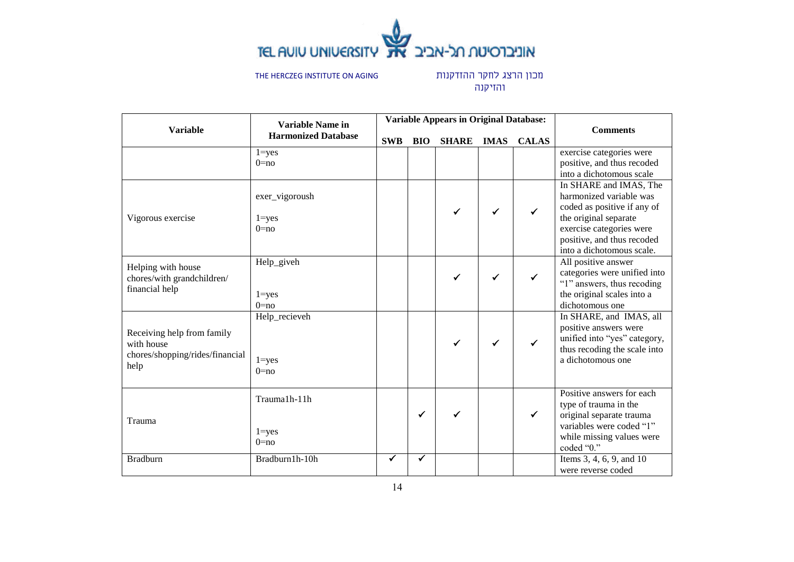

|                                                                                     | <b>Variable Name in</b><br><b>Harmonized Database</b> | <b>Variable Appears in Original Database:</b> |            |              |             |              |                                                                                                                                                                                                  |
|-------------------------------------------------------------------------------------|-------------------------------------------------------|-----------------------------------------------|------------|--------------|-------------|--------------|--------------------------------------------------------------------------------------------------------------------------------------------------------------------------------------------------|
| <b>Variable</b>                                                                     |                                                       | <b>SWB</b>                                    | <b>BIO</b> | <b>SHARE</b> | <b>IMAS</b> | <b>CALAS</b> | <b>Comments</b>                                                                                                                                                                                  |
|                                                                                     | $1 = yes$<br>$0 = no$                                 |                                               |            |              |             |              | exercise categories were<br>positive, and thus recoded<br>into a dichotomous scale                                                                                                               |
| Vigorous exercise                                                                   | exer_vigoroush<br>$1 = yes$<br>$0 = no$               |                                               |            | ✔            |             |              | In SHARE and IMAS, The<br>harmonized variable was<br>coded as positive if any of<br>the original separate<br>exercise categories were<br>positive, and thus recoded<br>into a dichotomous scale. |
| Helping with house<br>chores/with grandchildren/<br>financial help                  | Help_giveh<br>$1 = yes$<br>$0 = no$                   |                                               |            | ✓            | ✔           |              | All positive answer<br>categories were unified into<br>"1" answers, thus recoding<br>the original scales into a<br>dichotomous one                                                               |
| Receiving help from family<br>with house<br>chores/shopping/rides/financial<br>help | Help_recieveh<br>$1 = yes$<br>$0 = no$                |                                               |            | ✓            | ✔           | ✔            | In SHARE, and IMAS, all<br>positive answers were<br>unified into "yes" category,<br>thus recoding the scale into<br>a dichotomous one                                                            |
| Trauma                                                                              | Trauma1h-11h<br>$1 = yes$<br>$0 = no$                 |                                               | √          |              |             |              | Positive answers for each<br>type of trauma in the<br>original separate trauma<br>variables were coded "1"<br>while missing values were<br>coded "0."                                            |
| <b>Bradburn</b>                                                                     | Bradburn1h-10h                                        | √                                             | ✔          |              |             |              | Items 3, 4, 6, 9, and 10<br>were reverse coded                                                                                                                                                   |